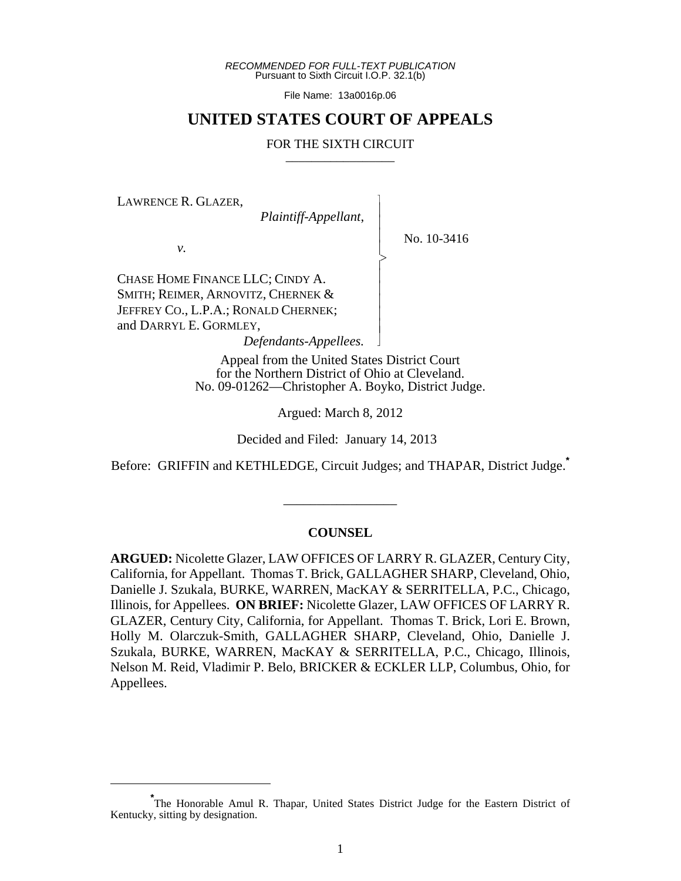*RECOMMENDED FOR FULL-TEXT PUBLICATION* Pursuant to Sixth Circuit I.O.P. 32.1(b)

File Name: 13a0016p.06

## **UNITED STATES COURT OF APPEALS**

#### FOR THE SIXTH CIRCUIT

 $\overline{\phantom{a}}$ - - - > , - - - - - N

LAWRENCE R. GLAZER,

*Plaintiff-Appellant*,

No. 10-3416

*v.*

CHASE HOME FINANCE LLC; CINDY A. SMITH; REIMER, ARNOVITZ, CHERNEK & JEFFREY CO., L.P.A.; RONALD CHERNEK; and DARRYL E. GORMLEY,

 *Defendants-Appellees.*

Appeal from the United States District Court for the Northern District of Ohio at Cleveland. No. 09-01262—Christopher A. Boyko, District Judge.

Argued: March 8, 2012

Decided and Filed: January 14, 2013

Before: GRIFFIN and KETHLEDGE, Circuit Judges; and THAPAR, District Judge.**\***

## **COUNSEL**

\_\_\_\_\_\_\_\_\_\_\_\_\_\_\_\_\_

**ARGUED:** Nicolette Glazer, LAW OFFICES OF LARRY R. GLAZER, Century City, California, for Appellant. Thomas T. Brick, GALLAGHER SHARP, Cleveland, Ohio, Danielle J. Szukala, BURKE, WARREN, MacKAY & SERRITELLA, P.C., Chicago, Illinois, for Appellees. **ON BRIEF:** Nicolette Glazer, LAW OFFICES OF LARRY R. GLAZER, Century City, California, for Appellant. Thomas T. Brick, Lori E. Brown, Holly M. Olarczuk-Smith, GALLAGHER SHARP, Cleveland, Ohio, Danielle J. Szukala, BURKE, WARREN, MacKAY & SERRITELLA, P.C., Chicago, Illinois, Nelson M. Reid, Vladimir P. Belo, BRICKER & ECKLER LLP, Columbus, Ohio, for Appellees.

**<sup>\*</sup>** The Honorable Amul R. Thapar, United States District Judge for the Eastern District of Kentucky, sitting by designation.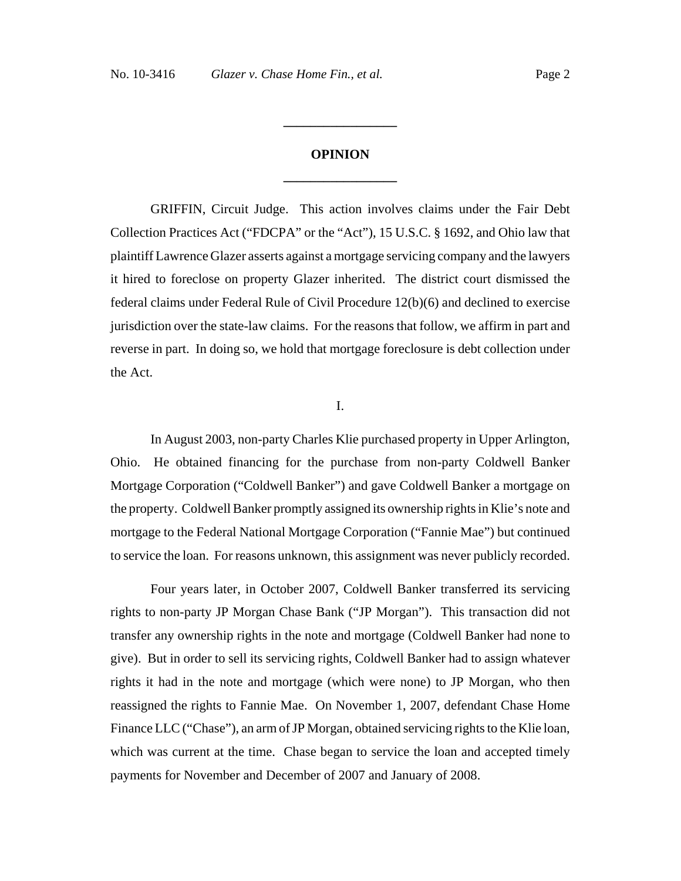# **OPINION \_\_\_\_\_\_\_\_\_\_\_\_\_\_\_\_\_**

**\_\_\_\_\_\_\_\_\_\_\_\_\_\_\_\_\_**

GRIFFIN, Circuit Judge. This action involves claims under the Fair Debt Collection Practices Act ("FDCPA" or the "Act"), 15 U.S.C. § 1692, and Ohio law that plaintiff Lawrence Glazer asserts against a mortgage servicing company and the lawyers it hired to foreclose on property Glazer inherited. The district court dismissed the federal claims under Federal Rule of Civil Procedure 12(b)(6) and declined to exercise jurisdiction over the state-law claims. For the reasons that follow, we affirm in part and reverse in part. In doing so, we hold that mortgage foreclosure is debt collection under the Act.

I.

In August 2003, non-party Charles Klie purchased property in Upper Arlington, Ohio. He obtained financing for the purchase from non-party Coldwell Banker Mortgage Corporation ("Coldwell Banker") and gave Coldwell Banker a mortgage on the property. Coldwell Banker promptly assigned its ownership rights in Klie's note and mortgage to the Federal National Mortgage Corporation ("Fannie Mae") but continued to service the loan. For reasons unknown, this assignment was never publicly recorded.

Four years later, in October 2007, Coldwell Banker transferred its servicing rights to non-party JP Morgan Chase Bank ("JP Morgan"). This transaction did not transfer any ownership rights in the note and mortgage (Coldwell Banker had none to give). But in order to sell its servicing rights, Coldwell Banker had to assign whatever rights it had in the note and mortgage (which were none) to JP Morgan, who then reassigned the rights to Fannie Mae. On November 1, 2007, defendant Chase Home Finance LLC ("Chase"), an arm of JP Morgan, obtained servicing rights to the Klie loan, which was current at the time. Chase began to service the loan and accepted timely payments for November and December of 2007 and January of 2008.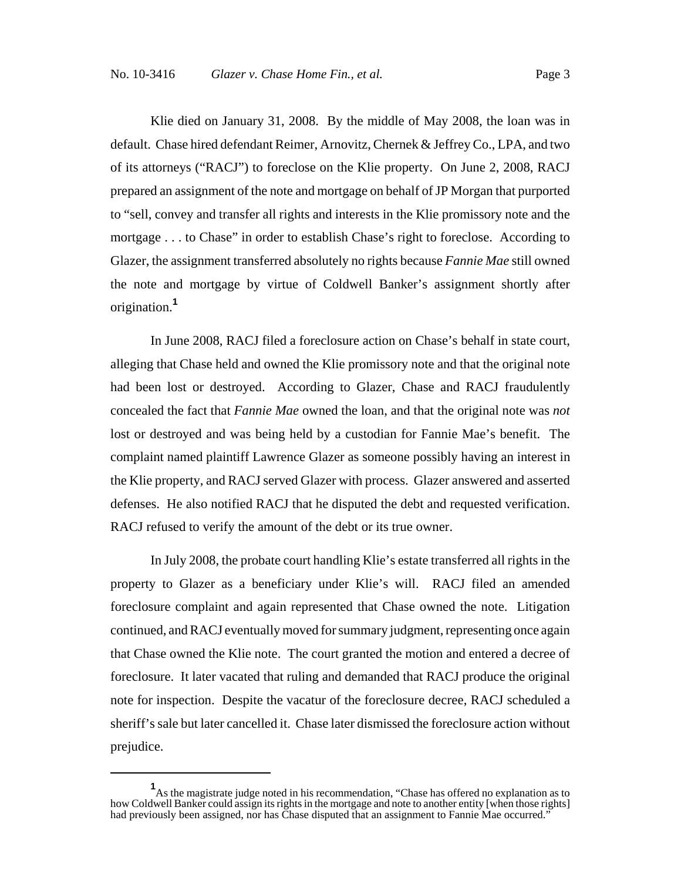Klie died on January 31, 2008. By the middle of May 2008, the loan was in default. Chase hired defendant Reimer, Arnovitz, Chernek & Jeffrey Co., LPA, and two of its attorneys ("RACJ") to foreclose on the Klie property. On June 2, 2008, RACJ prepared an assignment of the note and mortgage on behalf of JP Morgan that purported to "sell, convey and transfer all rights and interests in the Klie promissory note and the mortgage . . . to Chase" in order to establish Chase's right to foreclose. According to Glazer, the assignment transferred absolutely no rights because *Fannie Mae* still owned the note and mortgage by virtue of Coldwell Banker's assignment shortly after origination.**<sup>1</sup>**

In June 2008, RACJ filed a foreclosure action on Chase's behalf in state court, alleging that Chase held and owned the Klie promissory note and that the original note had been lost or destroyed. According to Glazer, Chase and RACJ fraudulently concealed the fact that *Fannie Mae* owned the loan, and that the original note was *not* lost or destroyed and was being held by a custodian for Fannie Mae's benefit. The complaint named plaintiff Lawrence Glazer as someone possibly having an interest in the Klie property, and RACJ served Glazer with process. Glazer answered and asserted defenses. He also notified RACJ that he disputed the debt and requested verification. RACJ refused to verify the amount of the debt or its true owner.

In July 2008, the probate court handling Klie's estate transferred all rights in the property to Glazer as a beneficiary under Klie's will. RACJ filed an amended foreclosure complaint and again represented that Chase owned the note. Litigation continued, and RACJ eventually moved for summary judgment, representing once again that Chase owned the Klie note. The court granted the motion and entered a decree of foreclosure. It later vacated that ruling and demanded that RACJ produce the original note for inspection. Despite the vacatur of the foreclosure decree, RACJ scheduled a sheriff's sale but later cancelled it. Chase later dismissed the foreclosure action without prejudice.

<sup>&</sup>lt;sup>1</sup>As the magistrate judge noted in his recommendation, "Chase has offered no explanation as to how Coldwell Banker could assign its rights in the mortgage and note to another entity [when those rights] had previously been assigned, nor has Chase disputed that an assignment to Fannie Mae occurred."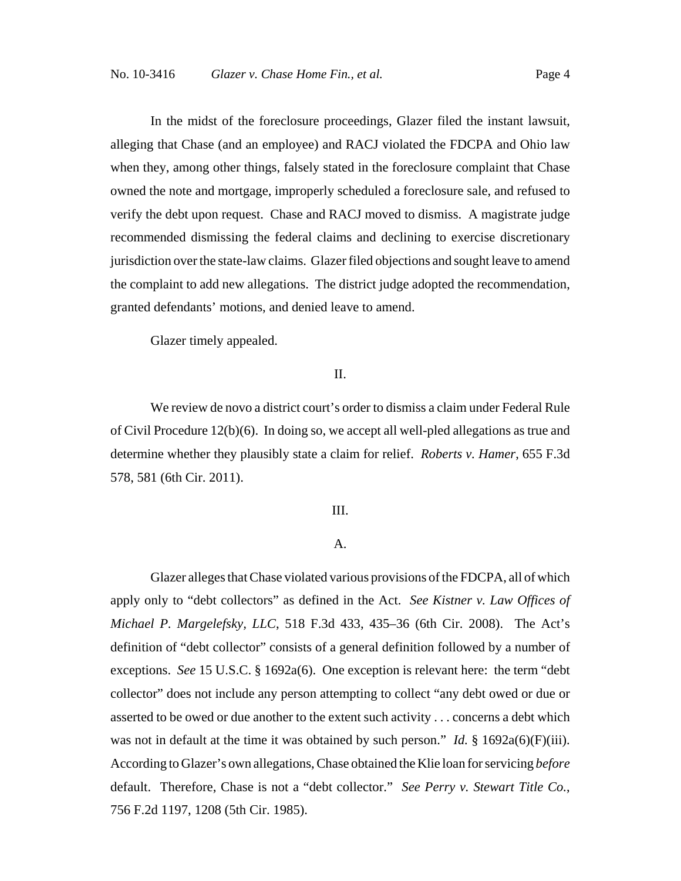In the midst of the foreclosure proceedings, Glazer filed the instant lawsuit, alleging that Chase (and an employee) and RACJ violated the FDCPA and Ohio law when they, among other things, falsely stated in the foreclosure complaint that Chase owned the note and mortgage, improperly scheduled a foreclosure sale, and refused to verify the debt upon request. Chase and RACJ moved to dismiss. A magistrate judge recommended dismissing the federal claims and declining to exercise discretionary jurisdiction over the state-law claims. Glazer filed objections and sought leave to amend the complaint to add new allegations. The district judge adopted the recommendation, granted defendants' motions, and denied leave to amend.

Glazer timely appealed.

## II.

We review de novo a district court's order to dismiss a claim under Federal Rule of Civil Procedure 12(b)(6). In doing so, we accept all well-pled allegations as true and determine whether they plausibly state a claim for relief. *Roberts v. Hamer*, 655 F.3d 578, 581 (6th Cir. 2011).

## III.

## A.

Glazer alleges that Chase violated various provisions of the FDCPA, all of which apply only to "debt collectors" as defined in the Act. *See Kistner v. Law Offices of Michael P. Margelefsky, LLC*, 518 F.3d 433, 435–36 (6th Cir. 2008). The Act's definition of "debt collector" consists of a general definition followed by a number of exceptions. *See* 15 U.S.C. § 1692a(6). One exception is relevant here: the term "debt collector" does not include any person attempting to collect "any debt owed or due or asserted to be owed or due another to the extent such activity . . . concerns a debt which was not in default at the time it was obtained by such person." *Id.* § 1692a(6)(F)(iii). According to Glazer's own allegations, Chase obtained the Klie loan for servicing *before* default. Therefore, Chase is not a "debt collector." *See Perry v. Stewart Title Co.*, 756 F.2d 1197, 1208 (5th Cir. 1985).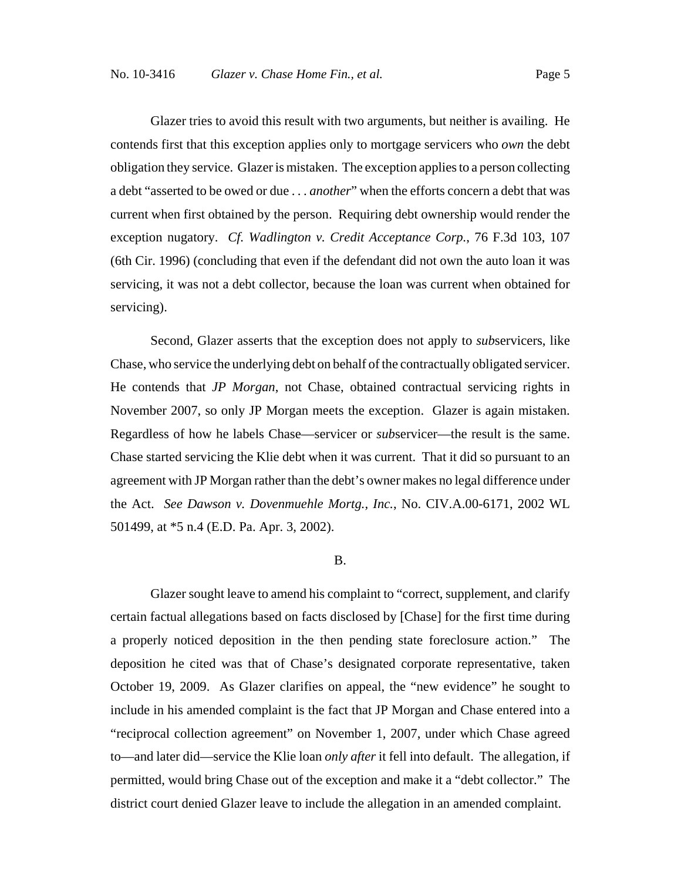Glazer tries to avoid this result with two arguments, but neither is availing. He contends first that this exception applies only to mortgage servicers who *own* the debt obligation they service. Glazer is mistaken. The exception applies to a person collecting a debt "asserted to be owed or due . . . *another*" when the efforts concern a debt that was current when first obtained by the person. Requiring debt ownership would render the exception nugatory. *Cf. Wadlington v. Credit Acceptance Corp.*, 76 F.3d 103, 107 (6th Cir. 1996) (concluding that even if the defendant did not own the auto loan it was servicing, it was not a debt collector, because the loan was current when obtained for servicing).

Second, Glazer asserts that the exception does not apply to *sub*servicers, like Chase, who service the underlying debt on behalf of the contractually obligated servicer. He contends that *JP Morgan*, not Chase, obtained contractual servicing rights in November 2007, so only JP Morgan meets the exception. Glazer is again mistaken. Regardless of how he labels Chase—servicer or *sub*servicer—the result is the same. Chase started servicing the Klie debt when it was current. That it did so pursuant to an agreement with JP Morgan rather than the debt's owner makes no legal difference under the Act. *See Dawson v. Dovenmuehle Mortg., Inc.*, No. CIV.A.00-6171, 2002 WL 501499, at \*5 n.4 (E.D. Pa. Apr. 3, 2002).

#### B.

Glazer sought leave to amend his complaint to "correct, supplement, and clarify certain factual allegations based on facts disclosed by [Chase] for the first time during a properly noticed deposition in the then pending state foreclosure action." The deposition he cited was that of Chase's designated corporate representative, taken October 19, 2009. As Glazer clarifies on appeal, the "new evidence" he sought to include in his amended complaint is the fact that JP Morgan and Chase entered into a "reciprocal collection agreement" on November 1, 2007, under which Chase agreed to—and later did—service the Klie loan *only after* it fell into default. The allegation, if permitted, would bring Chase out of the exception and make it a "debt collector." The district court denied Glazer leave to include the allegation in an amended complaint.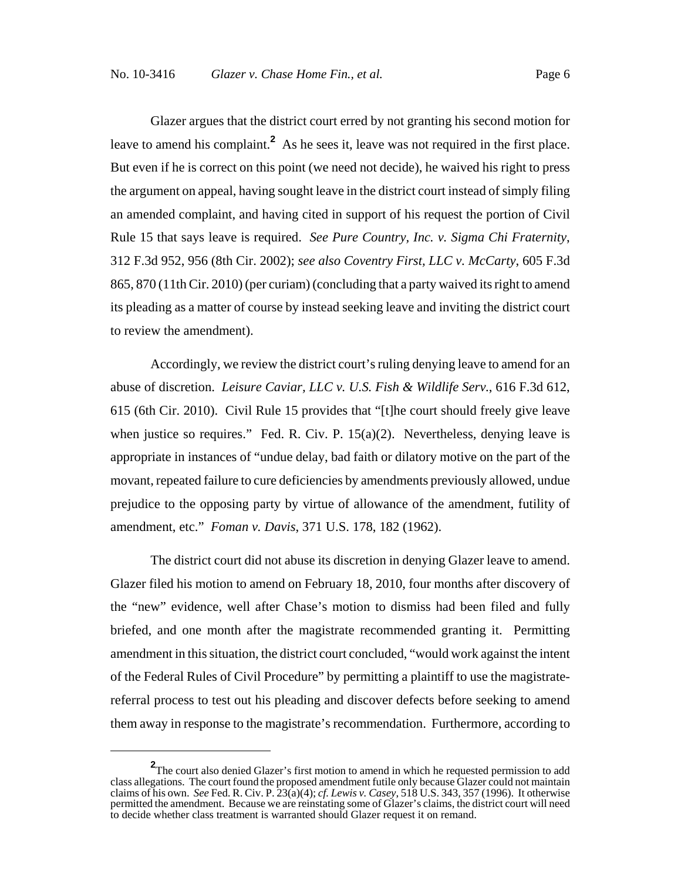Glazer argues that the district court erred by not granting his second motion for leave to amend his complaint.<sup>2</sup> As he sees it, leave was not required in the first place. But even if he is correct on this point (we need not decide), he waived his right to press the argument on appeal, having sought leave in the district court instead of simply filing an amended complaint, and having cited in support of his request the portion of Civil Rule 15 that says leave is required. *See Pure Country, Inc. v. Sigma Chi Fraternity*, 312 F.3d 952, 956 (8th Cir. 2002); *see also Coventry First, LLC v. McCarty*, 605 F.3d 865, 870 (11th Cir. 2010) (per curiam) (concluding that a party waived its right to amend its pleading as a matter of course by instead seeking leave and inviting the district court to review the amendment).

Accordingly, we review the district court's ruling denying leave to amend for an abuse of discretion. *Leisure Caviar, LLC v. U.S. Fish & Wildlife Serv.*, 616 F.3d 612, 615 (6th Cir. 2010). Civil Rule 15 provides that "[t]he court should freely give leave when justice so requires." Fed. R. Civ. P.  $15(a)(2)$ . Nevertheless, denying leave is appropriate in instances of "undue delay, bad faith or dilatory motive on the part of the movant, repeated failure to cure deficiencies by amendments previously allowed, undue prejudice to the opposing party by virtue of allowance of the amendment, futility of amendment, etc." *Foman v. Davis*, 371 U.S. 178, 182 (1962).

The district court did not abuse its discretion in denying Glazer leave to amend. Glazer filed his motion to amend on February 18, 2010, four months after discovery of the "new" evidence, well after Chase's motion to dismiss had been filed and fully briefed, and one month after the magistrate recommended granting it. Permitting amendment in this situation, the district court concluded, "would work against the intent of the Federal Rules of Civil Procedure" by permitting a plaintiff to use the magistratereferral process to test out his pleading and discover defects before seeking to amend them away in response to the magistrate's recommendation. Furthermore, according to

**<sup>2</sup>** The court also denied Glazer's first motion to amend in which he requested permission to add class allegations. The court found the proposed amendment futile only because Glazer could not maintain claims of his own. *See* Fed. R. Civ. P. 23(a)(4); *cf. Lewis v. Casey*, 518 U.S. 343, 357 (1996). It otherwise permitted the amendment. Because we are reinstating some of Glazer's claims, the district court will need to decide whether class treatment is warranted should Glazer request it on remand.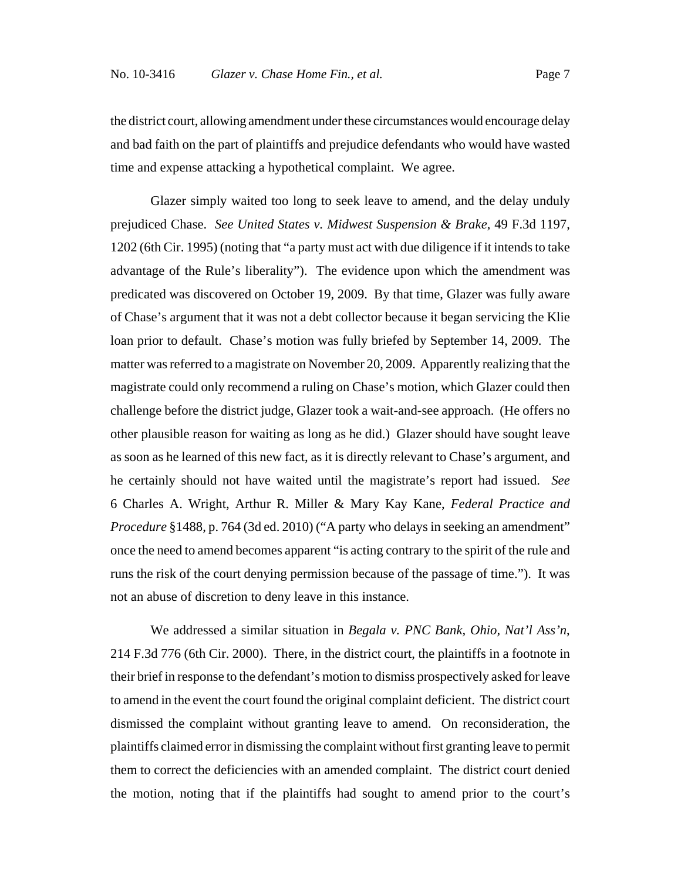the district court, allowing amendment under these circumstances would encourage delay and bad faith on the part of plaintiffs and prejudice defendants who would have wasted time and expense attacking a hypothetical complaint. We agree.

Glazer simply waited too long to seek leave to amend, and the delay unduly prejudiced Chase. *See United States v. Midwest Suspension & Brake*, 49 F.3d 1197, 1202 (6th Cir. 1995) (noting that "a party must act with due diligence if it intends to take advantage of the Rule's liberality"). The evidence upon which the amendment was predicated was discovered on October 19, 2009. By that time, Glazer was fully aware of Chase's argument that it was not a debt collector because it began servicing the Klie loan prior to default. Chase's motion was fully briefed by September 14, 2009. The matter was referred to a magistrate on November 20, 2009. Apparently realizing that the magistrate could only recommend a ruling on Chase's motion, which Glazer could then challenge before the district judge, Glazer took a wait-and-see approach. (He offers no other plausible reason for waiting as long as he did.) Glazer should have sought leave as soon as he learned of this new fact, as it is directly relevant to Chase's argument, and he certainly should not have waited until the magistrate's report had issued. *See* 6 Charles A. Wright, Arthur R. Miller & Mary Kay Kane, *Federal Practice and Procedure* §1488, p. 764 (3d ed. 2010) ("A party who delays in seeking an amendment" once the need to amend becomes apparent "is acting contrary to the spirit of the rule and runs the risk of the court denying permission because of the passage of time."). It was not an abuse of discretion to deny leave in this instance.

We addressed a similar situation in *Begala v. PNC Bank, Ohio, Nat'l Ass'n*, 214 F.3d 776 (6th Cir. 2000). There, in the district court, the plaintiffs in a footnote in their brief in response to the defendant's motion to dismiss prospectively asked for leave to amend in the event the court found the original complaint deficient. The district court dismissed the complaint without granting leave to amend. On reconsideration, the plaintiffs claimed error in dismissing the complaint without first granting leave to permit them to correct the deficiencies with an amended complaint. The district court denied the motion, noting that if the plaintiffs had sought to amend prior to the court's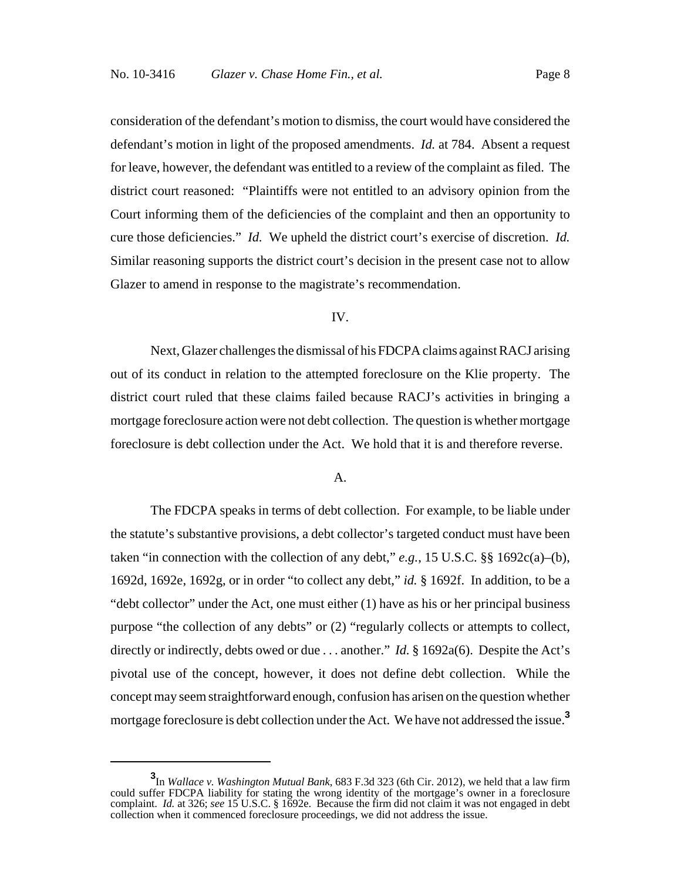consideration of the defendant's motion to dismiss, the court would have considered the defendant's motion in light of the proposed amendments. *Id.* at 784. Absent a request for leave, however, the defendant was entitled to a review of the complaint as filed. The district court reasoned: "Plaintiffs were not entitled to an advisory opinion from the Court informing them of the deficiencies of the complaint and then an opportunity to cure those deficiencies." *Id.* We upheld the district court's exercise of discretion. *Id.* Similar reasoning supports the district court's decision in the present case not to allow Glazer to amend in response to the magistrate's recommendation.

#### IV.

Next, Glazer challenges the dismissal of his FDCPA claims against RACJ arising out of its conduct in relation to the attempted foreclosure on the Klie property. The district court ruled that these claims failed because RACJ's activities in bringing a mortgage foreclosure action were not debt collection. The question is whether mortgage foreclosure is debt collection under the Act. We hold that it is and therefore reverse.

## A.

The FDCPA speaks in terms of debt collection. For example, to be liable under the statute's substantive provisions, a debt collector's targeted conduct must have been taken "in connection with the collection of any debt,"  $e.g., 15 \text{ U.S.C.}$  §§ 1692c(a)–(b), 1692d, 1692e, 1692g, or in order "to collect any debt," *id.* § 1692f. In addition, to be a "debt collector" under the Act, one must either (1) have as his or her principal business purpose "the collection of any debts" or (2) "regularly collects or attempts to collect, directly or indirectly, debts owed or due . . . another." *Id.* § 1692a(6). Despite the Act's pivotal use of the concept, however, it does not define debt collection. While the concept may seem straightforward enough, confusion has arisen on the question whether mortgage foreclosure is debt collection under the Act. We have not addressed the issue.**<sup>3</sup>**

**<sup>3</sup>** In *Wallace v. Washington Mutual Bank*, 683 F.3d 323 (6th Cir. 2012), we held that a law firm could suffer FDCPA liability for stating the wrong identity of the mortgage's owner in a foreclosure complaint. *Id.* at 326; *see* 15 U.S.C. § 1692e. Because the firm did not claim it was not engaged in debt collection when it commenced foreclosure proceedings, we did not address the issue.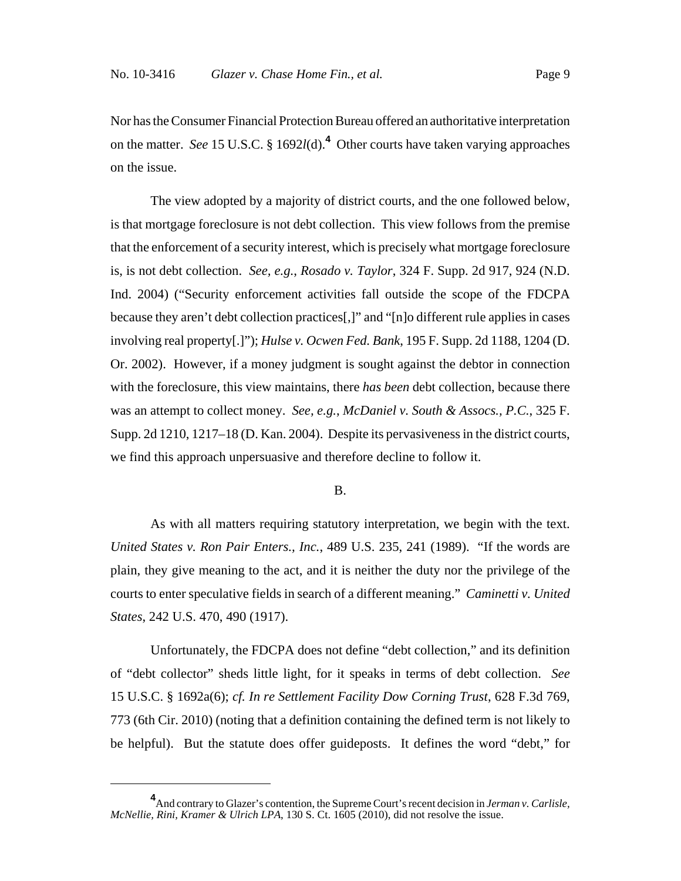Nor has the Consumer Financial Protection Bureau offered an authoritative interpretation on the matter. *See* 15 U.S.C. § 1692*l*(d).**<sup>4</sup>** Other courts have taken varying approaches on the issue.

The view adopted by a majority of district courts, and the one followed below, is that mortgage foreclosure is not debt collection. This view follows from the premise that the enforcement of a security interest, which is precisely what mortgage foreclosure is, is not debt collection. *See, e.g.*, *Rosado v. Taylor*, 324 F. Supp. 2d 917, 924 (N.D. Ind. 2004) ("Security enforcement activities fall outside the scope of the FDCPA because they aren't debt collection practices[,]" and "[n]o different rule applies in cases involving real property[.]"); *Hulse v. Ocwen Fed. Bank*, 195 F. Supp. 2d 1188, 1204 (D. Or. 2002). However, if a money judgment is sought against the debtor in connection with the foreclosure, this view maintains, there *has been* debt collection, because there was an attempt to collect money. *See, e.g.*, *McDaniel v. South & Assocs., P.C.*, 325 F. Supp. 2d 1210, 1217–18 (D. Kan. 2004). Despite its pervasiveness in the district courts, we find this approach unpersuasive and therefore decline to follow it.

#### B.

As with all matters requiring statutory interpretation, we begin with the text. *United States v. Ron Pair Enters., Inc.*, 489 U.S. 235, 241 (1989). "If the words are plain, they give meaning to the act, and it is neither the duty nor the privilege of the courts to enter speculative fields in search of a different meaning." *Caminetti v. United States*, 242 U.S. 470, 490 (1917).

Unfortunately, the FDCPA does not define "debt collection," and its definition of "debt collector" sheds little light, for it speaks in terms of debt collection. *See* 15 U.S.C. § 1692a(6); *cf. In re Settlement Facility Dow Corning Trust*, 628 F.3d 769, 773 (6th Cir. 2010) (noting that a definition containing the defined term is not likely to be helpful). But the statute does offer guideposts. It defines the word "debt," for

**<sup>4</sup>** And contrary to Glazer's contention, the Supreme Court's recent decision in *Jerman v. Carlisle, McNellie, Rini, Kramer & Ulrich LPA*, 130 S. Ct. 1605 (2010), did not resolve the issue.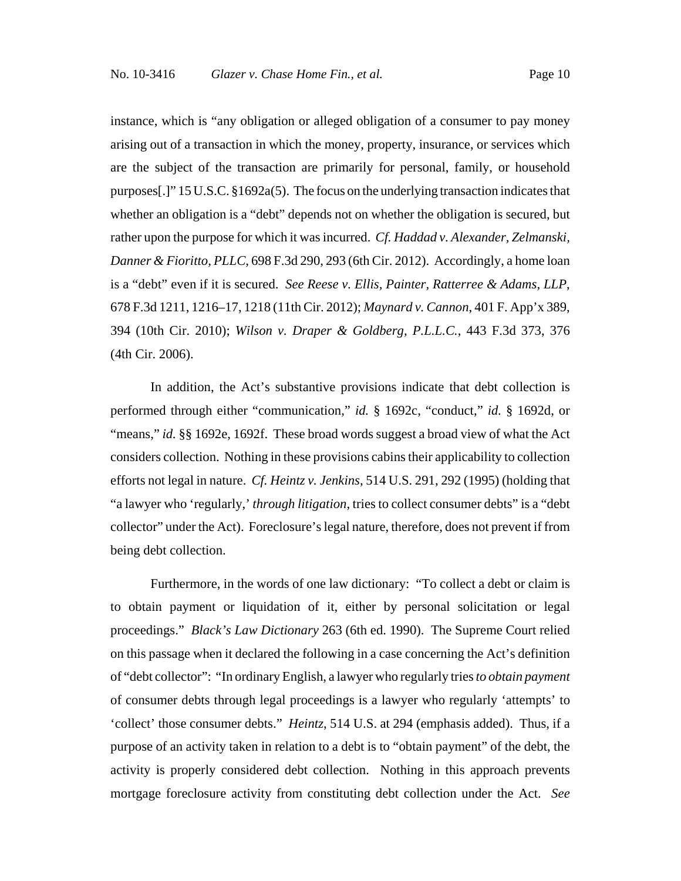instance, which is "any obligation or alleged obligation of a consumer to pay money arising out of a transaction in which the money, property, insurance, or services which are the subject of the transaction are primarily for personal, family, or household purposes[.]" 15 U.S.C. §1692a(5). The focus on the underlying transaction indicates that whether an obligation is a "debt" depends not on whether the obligation is secured, but rather upon the purpose for which it was incurred. *Cf. Haddad v. Alexander, Zelmanski, Danner & Fioritto, PLLC*, 698 F.3d 290, 293 (6th Cir. 2012). Accordingly, a home loan is a "debt" even if it is secured. *See Reese v. Ellis, Painter, Ratterree & Adams, LLP*, 678 F.3d 1211, 1216–17, 1218 (11th Cir. 2012); *Maynard v. Cannon*, 401 F. App'x 389, 394 (10th Cir. 2010); *Wilson v. Draper & Goldberg, P.L.L.C.*, 443 F.3d 373, 376 (4th Cir. 2006).

In addition, the Act's substantive provisions indicate that debt collection is performed through either "communication," *id.* § 1692c, "conduct," *id.* § 1692d, or "means," *id.* §§ 1692e, 1692f. These broad words suggest a broad view of what the Act considers collection. Nothing in these provisions cabins their applicability to collection efforts not legal in nature. *Cf. Heintz v. Jenkins*, 514 U.S. 291, 292 (1995) (holding that "a lawyer who 'regularly,' *through litigation*, tries to collect consumer debts" is a "debt collector" under the Act). Foreclosure's legal nature, therefore, does not prevent if from being debt collection.

Furthermore, in the words of one law dictionary: "To collect a debt or claim is to obtain payment or liquidation of it, either by personal solicitation or legal proceedings." *Black's Law Dictionary* 263 (6th ed. 1990). The Supreme Court relied on this passage when it declared the following in a case concerning the Act's definition of "debt collector": "In ordinary English, a lawyer who regularly tries *to obtain payment* of consumer debts through legal proceedings is a lawyer who regularly 'attempts' to 'collect' those consumer debts." *Heintz*, 514 U.S. at 294 (emphasis added). Thus, if a purpose of an activity taken in relation to a debt is to "obtain payment" of the debt, the activity is properly considered debt collection. Nothing in this approach prevents mortgage foreclosure activity from constituting debt collection under the Act. *See*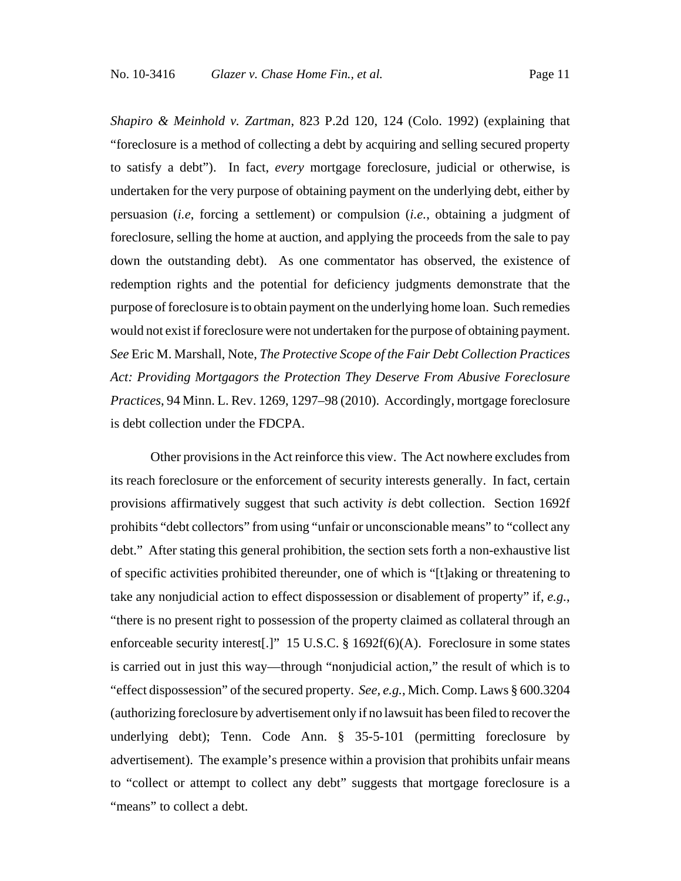*Shapiro & Meinhold v. Zartman*, 823 P.2d 120, 124 (Colo. 1992) (explaining that "foreclosure is a method of collecting a debt by acquiring and selling secured property to satisfy a debt"). In fact, *every* mortgage foreclosure, judicial or otherwise, is undertaken for the very purpose of obtaining payment on the underlying debt, either by persuasion (*i.e*, forcing a settlement) or compulsion (*i.e.*, obtaining a judgment of foreclosure, selling the home at auction, and applying the proceeds from the sale to pay down the outstanding debt). As one commentator has observed, the existence of redemption rights and the potential for deficiency judgments demonstrate that the purpose of foreclosure is to obtain payment on the underlying home loan. Such remedies would not exist if foreclosure were not undertaken for the purpose of obtaining payment. *See* Eric M. Marshall, Note, *The Protective Scope of the Fair Debt Collection Practices Act: Providing Mortgagors the Protection They Deserve From Abusive Foreclosure Practices*, 94 Minn. L. Rev. 1269, 1297–98 (2010). Accordingly, mortgage foreclosure is debt collection under the FDCPA.

Other provisions in the Act reinforce this view. The Act nowhere excludes from its reach foreclosure or the enforcement of security interests generally. In fact, certain provisions affirmatively suggest that such activity *is* debt collection. Section 1692f prohibits "debt collectors" from using "unfair or unconscionable means" to "collect any debt." After stating this general prohibition, the section sets forth a non-exhaustive list of specific activities prohibited thereunder, one of which is "[t]aking or threatening to take any nonjudicial action to effect dispossession or disablement of property" if, *e.g.*, "there is no present right to possession of the property claimed as collateral through an enforceable security interest[.]" 15 U.S.C. § 1692f(6)(A). Foreclosure in some states is carried out in just this way—through "nonjudicial action," the result of which is to "effect dispossession" of the secured property. *See, e.g.*, Mich. Comp. Laws § 600.3204 (authorizing foreclosure by advertisement only if no lawsuit has been filed to recover the underlying debt); Tenn. Code Ann. § 35-5-101 (permitting foreclosure by advertisement). The example's presence within a provision that prohibits unfair means to "collect or attempt to collect any debt" suggests that mortgage foreclosure is a "means" to collect a debt.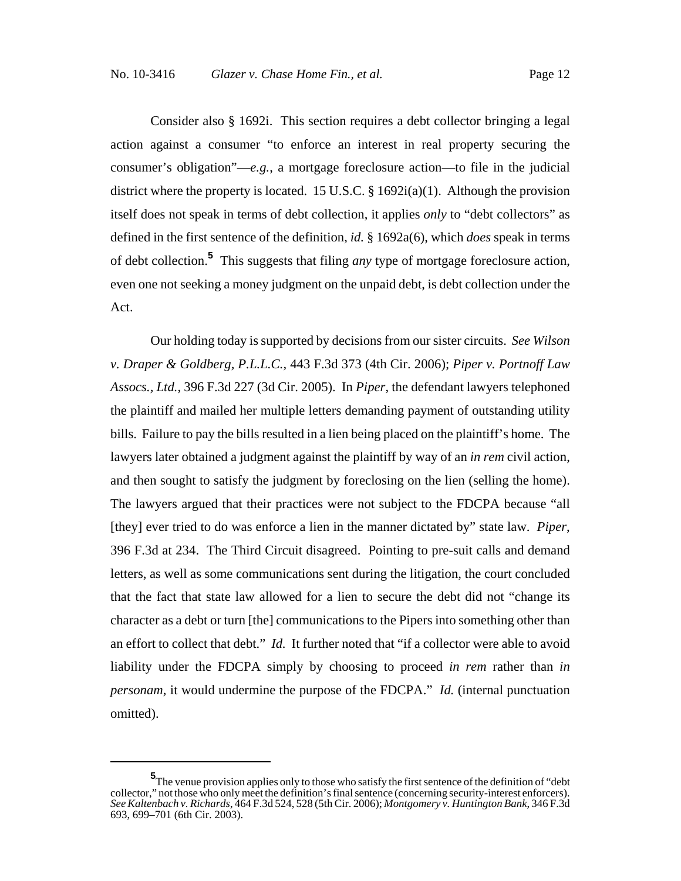Consider also § 1692i. This section requires a debt collector bringing a legal action against a consumer "to enforce an interest in real property securing the consumer's obligation"—*e.g.*, a mortgage foreclosure action—to file in the judicial district where the property is located. 15 U.S.C. § 1692i(a)(1). Although the provision itself does not speak in terms of debt collection, it applies *only* to "debt collectors" as defined in the first sentence of the definition, *id.* § 1692a(6), which *does* speak in terms of debt collection.**<sup>5</sup>** This suggests that filing *any* type of mortgage foreclosure action, even one not seeking a money judgment on the unpaid debt, is debt collection under the Act.

Our holding today is supported by decisions from our sister circuits. *See Wilson v. Draper & Goldberg, P.L.L.C.*, 443 F.3d 373 (4th Cir. 2006); *Piper v. Portnoff Law Assocs., Ltd.*, 396 F.3d 227 (3d Cir. 2005). In *Piper*, the defendant lawyers telephoned the plaintiff and mailed her multiple letters demanding payment of outstanding utility bills. Failure to pay the bills resulted in a lien being placed on the plaintiff's home. The lawyers later obtained a judgment against the plaintiff by way of an *in rem* civil action, and then sought to satisfy the judgment by foreclosing on the lien (selling the home). The lawyers argued that their practices were not subject to the FDCPA because "all [they] ever tried to do was enforce a lien in the manner dictated by" state law. *Piper*, 396 F.3d at 234. The Third Circuit disagreed. Pointing to pre-suit calls and demand letters, as well as some communications sent during the litigation, the court concluded that the fact that state law allowed for a lien to secure the debt did not "change its character as a debt or turn [the] communications to the Pipers into something other than an effort to collect that debt." *Id.* It further noted that "if a collector were able to avoid liability under the FDCPA simply by choosing to proceed *in rem* rather than *in personam*, it would undermine the purpose of the FDCPA." *Id.* (internal punctuation omitted).

**<sup>5</sup>** The venue provision applies only to those who satisfy the first sentence of the definition of "debt collector," not those who only meet the definition's final sentence (concerning security-interest enforcers). *See Kaltenbach v. Richards*, 464 F.3d 524, 528 (5th Cir. 2006); *Montgomery v. Huntington Bank*, 346 F.3d 693, 699–701 (6th Cir. 2003).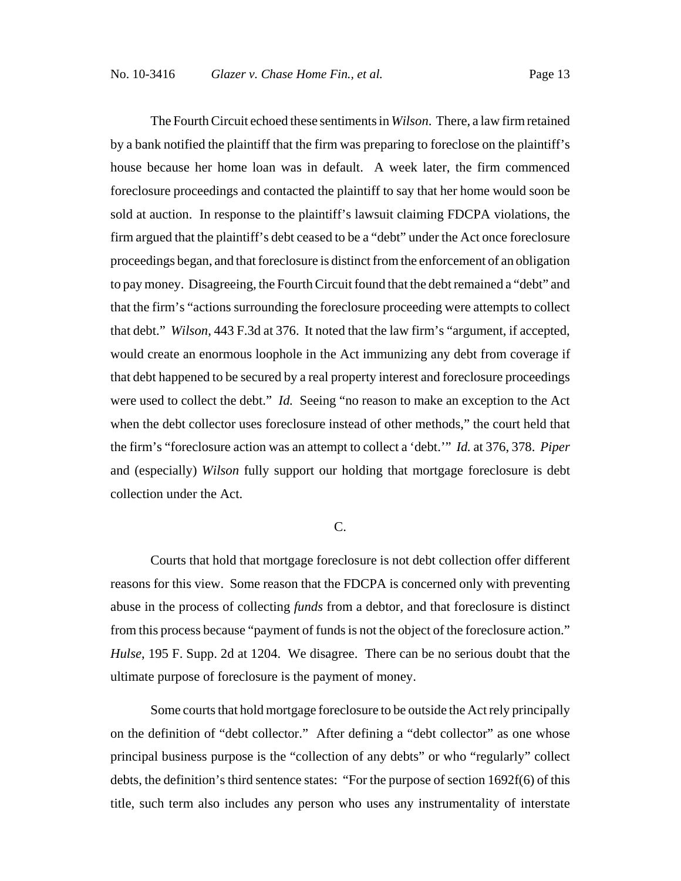The Fourth Circuit echoed these sentiments in *Wilson*. There, a law firm retained by a bank notified the plaintiff that the firm was preparing to foreclose on the plaintiff's house because her home loan was in default. A week later, the firm commenced foreclosure proceedings and contacted the plaintiff to say that her home would soon be sold at auction. In response to the plaintiff's lawsuit claiming FDCPA violations, the firm argued that the plaintiff's debt ceased to be a "debt" under the Act once foreclosure proceedings began, and that foreclosure is distinct from the enforcement of an obligation to pay money. Disagreeing, the Fourth Circuit found that the debt remained a "debt" and that the firm's "actions surrounding the foreclosure proceeding were attempts to collect that debt." *Wilson*, 443 F.3d at 376. It noted that the law firm's "argument, if accepted, would create an enormous loophole in the Act immunizing any debt from coverage if that debt happened to be secured by a real property interest and foreclosure proceedings were used to collect the debt." *Id.* Seeing "no reason to make an exception to the Act when the debt collector uses foreclosure instead of other methods," the court held that the firm's "foreclosure action was an attempt to collect a 'debt.'" *Id.* at 376, 378. *Piper* and (especially) *Wilson* fully support our holding that mortgage foreclosure is debt collection under the Act.

## C.

Courts that hold that mortgage foreclosure is not debt collection offer different reasons for this view. Some reason that the FDCPA is concerned only with preventing abuse in the process of collecting *funds* from a debtor, and that foreclosure is distinct from this process because "payment of funds is not the object of the foreclosure action." *Hulse*, 195 F. Supp. 2d at 1204. We disagree. There can be no serious doubt that the ultimate purpose of foreclosure is the payment of money.

Some courts that hold mortgage foreclosure to be outside the Act rely principally on the definition of "debt collector." After defining a "debt collector" as one whose principal business purpose is the "collection of any debts" or who "regularly" collect debts, the definition's third sentence states: "For the purpose of section 1692f(6) of this title, such term also includes any person who uses any instrumentality of interstate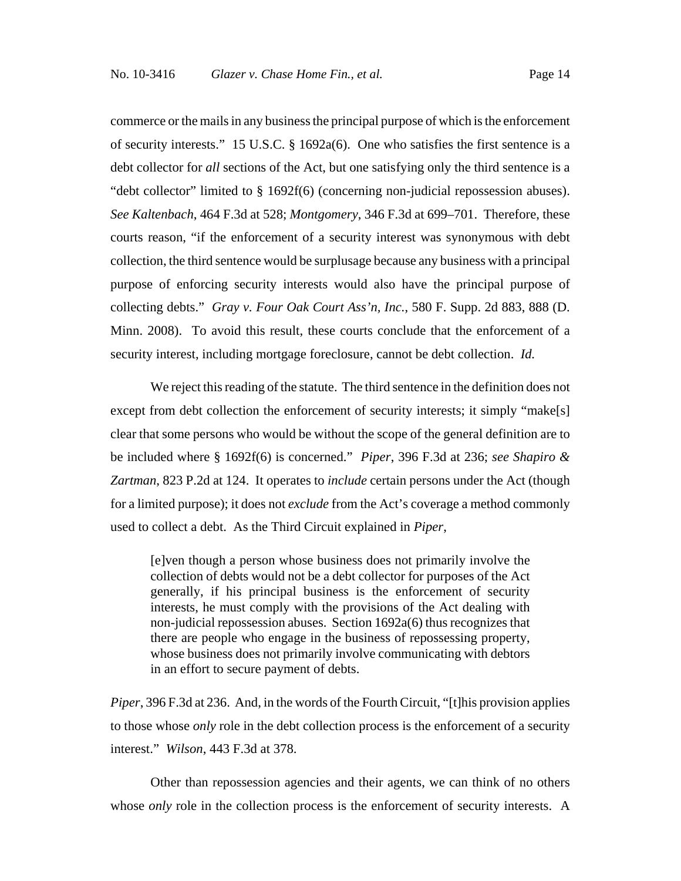commerce or the mails in any business the principal purpose of which is the enforcement of security interests." 15 U.S.C.  $\S$  1692a(6). One who satisfies the first sentence is a debt collector for *all* sections of the Act, but one satisfying only the third sentence is a "debt collector" limited to § 1692f(6) (concerning non-judicial repossession abuses). *See Kaltenbach*, 464 F.3d at 528; *Montgomery*, 346 F.3d at 699–701. Therefore, these courts reason, "if the enforcement of a security interest was synonymous with debt collection, the third sentence would be surplusage because any business with a principal purpose of enforcing security interests would also have the principal purpose of collecting debts." *Gray v. Four Oak Court Ass'n, Inc.*, 580 F. Supp. 2d 883, 888 (D. Minn. 2008). To avoid this result, these courts conclude that the enforcement of a security interest, including mortgage foreclosure, cannot be debt collection. *Id.*

We reject this reading of the statute. The third sentence in the definition does not except from debt collection the enforcement of security interests; it simply "make[s] clear that some persons who would be without the scope of the general definition are to be included where § 1692f(6) is concerned." *Piper*, 396 F.3d at 236; *see Shapiro & Zartman*, 823 P.2d at 124. It operates to *include* certain persons under the Act (though for a limited purpose); it does not *exclude* from the Act's coverage a method commonly used to collect a debt. As the Third Circuit explained in *Piper*,

[e]ven though a person whose business does not primarily involve the collection of debts would not be a debt collector for purposes of the Act generally, if his principal business is the enforcement of security interests, he must comply with the provisions of the Act dealing with non-judicial repossession abuses. Section 1692a(6) thus recognizes that there are people who engage in the business of repossessing property, whose business does not primarily involve communicating with debtors in an effort to secure payment of debts.

*Piper*, 396 F.3d at 236. And, in the words of the Fourth Circuit, "[t]his provision applies to those whose *only* role in the debt collection process is the enforcement of a security interest." *Wilson*, 443 F.3d at 378.

Other than repossession agencies and their agents, we can think of no others whose *only* role in the collection process is the enforcement of security interests. A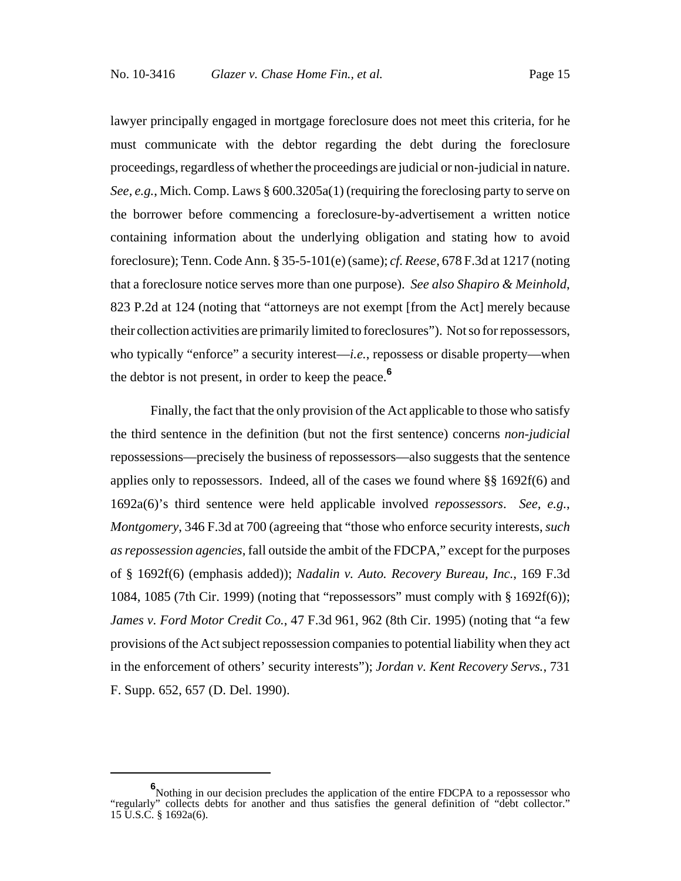lawyer principally engaged in mortgage foreclosure does not meet this criteria, for he must communicate with the debtor regarding the debt during the foreclosure proceedings, regardless of whether the proceedings are judicial or non-judicial in nature. *See, e.g.*, Mich. Comp. Laws § 600.3205a(1) (requiring the foreclosing party to serve on the borrower before commencing a foreclosure-by-advertisement a written notice containing information about the underlying obligation and stating how to avoid foreclosure); Tenn. Code Ann. § 35-5-101(e) (same); *cf. Reese*, 678 F.3d at 1217 (noting that a foreclosure notice serves more than one purpose). *See also Shapiro & Meinhold*, 823 P.2d at 124 (noting that "attorneys are not exempt [from the Act] merely because their collection activities are primarily limited to foreclosures"). Not so for repossessors, who typically "enforce" a security interest—*i.e.*, repossess or disable property—when the debtor is not present, in order to keep the peace.**<sup>6</sup>**

Finally, the fact that the only provision of the Act applicable to those who satisfy the third sentence in the definition (but not the first sentence) concerns *non-judicial* repossessions—precisely the business of repossessors—also suggests that the sentence applies only to repossessors. Indeed, all of the cases we found where §§ 1692f(6) and 1692a(6)'s third sentence were held applicable involved *repossessors*. *See, e.g.*, *Montgomery*, 346 F.3d at 700 (agreeing that "those who enforce security interests, *such as repossession agencies*, fall outside the ambit of the FDCPA," except for the purposes of § 1692f(6) (emphasis added)); *Nadalin v. Auto. Recovery Bureau, Inc.*, 169 F.3d 1084, 1085 (7th Cir. 1999) (noting that "repossessors" must comply with § 1692f(6)); *James v. Ford Motor Credit Co.*, 47 F.3d 961, 962 (8th Cir. 1995) (noting that "a few provisions of the Act subject repossession companies to potential liability when they act in the enforcement of others' security interests"); *Jordan v. Kent Recovery Servs.*, 731 F. Supp. 652, 657 (D. Del. 1990).

**<sup>6</sup>** Nothing in our decision precludes the application of the entire FDCPA to a repossessor who "regularly" collects debts for another and thus satisfies the general definition of "debt collector." 15 U.S.C. § 1692a(6).